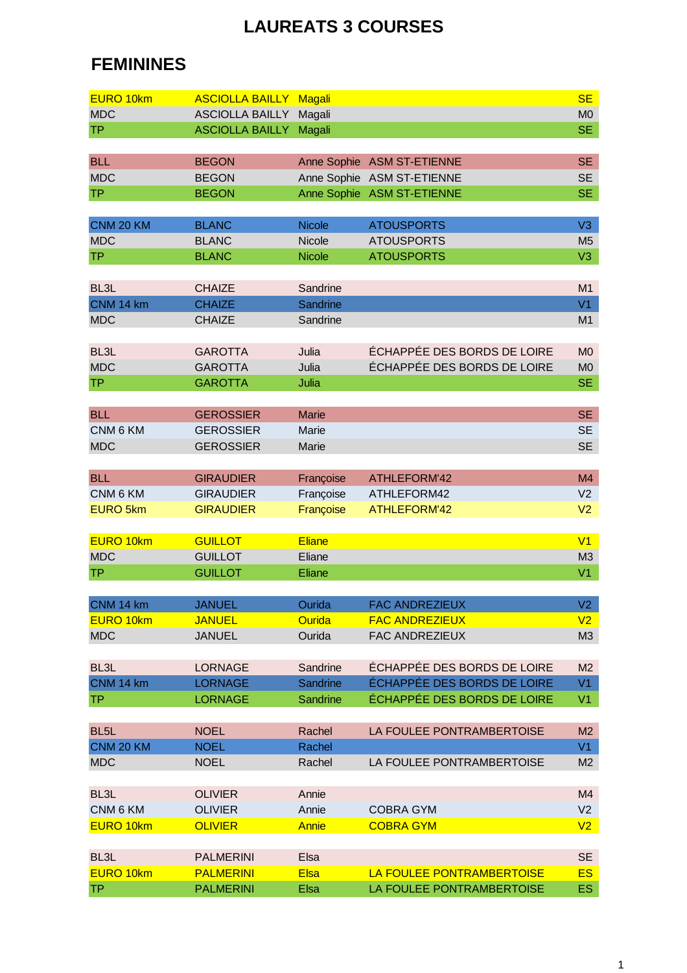## **LAUREATS 3 COURSES**

## **FEMININES**

| <b>EURO 10km</b>  | <b>ASCIOLLA BAILLY</b> | <b>Magali</b>           |                             | <b>SE</b>      |
|-------------------|------------------------|-------------------------|-----------------------------|----------------|
| <b>MDC</b>        | <b>ASCIOLLA BAILLY</b> | Magali                  |                             | M <sub>0</sub> |
|                   |                        |                         |                             |                |
| <b>TP</b>         | <b>ASCIOLLA BAILLY</b> | Magali                  |                             | <b>SE</b>      |
|                   |                        |                         |                             |                |
| <b>BLL</b>        | <b>BEGON</b>           |                         | Anne Sophie ASM ST-ETIENNE  | <b>SE</b>      |
| <b>MDC</b>        | <b>BEGON</b>           |                         | Anne Sophie ASM ST-ETIENNE  | <b>SE</b>      |
| <b>TP</b>         | <b>BEGON</b>           |                         | Anne Sophie ASM ST-ETIENNE  | <b>SE</b>      |
|                   |                        |                         |                             |                |
| CNM 20 KM         | <b>BLANC</b>           | <b>Nicole</b>           | <b>ATOUSPORTS</b>           | V3             |
| <b>MDC</b>        | <b>BLANC</b>           | Nicole                  | <b>ATOUSPORTS</b>           | M <sub>5</sub> |
| <b>TP</b>         | <b>BLANC</b>           | <b>Nicole</b>           | <b>ATOUSPORTS</b>           | V <sub>3</sub> |
|                   |                        |                         |                             |                |
| BL <sub>3</sub> L | <b>CHAIZE</b>          | Sandrine                |                             | M1             |
| CNM 14 km         | <b>CHAIZE</b>          | Sandrine                |                             | V1             |
| <b>MDC</b>        | <b>CHAIZE</b>          | Sandrine                |                             | M1             |
|                   |                        |                         |                             |                |
| BL <sub>3</sub> L | <b>GAROTTA</b>         | Julia                   | ÉCHAPPÉE DES BORDS DE LOIRE | M <sub>0</sub> |
| <b>MDC</b>        | <b>GAROTTA</b>         | Julia                   | ÉCHAPPÉE DES BORDS DE LOIRE | M <sub>0</sub> |
| <b>TP</b>         | <b>GAROTTA</b>         | Julia                   |                             | <b>SE</b>      |
|                   |                        |                         |                             |                |
| <b>BLL</b>        | <b>GEROSSIER</b>       | <b>Marie</b>            |                             | <b>SE</b>      |
| CNM 6 KM          | <b>GEROSSIER</b>       | Marie                   |                             | <b>SE</b>      |
| <b>MDC</b>        | <b>GEROSSIER</b>       | Marie                   |                             | <b>SE</b>      |
|                   |                        |                         |                             |                |
| <b>BLL</b>        | <b>GIRAUDIER</b>       | Françoise               | ATHLEFORM'42                | M4             |
| CNM 6 KM          | <b>GIRAUDIER</b>       | Françoise               | ATHLEFORM42                 | V <sub>2</sub> |
| <b>EURO 5km</b>   | <b>GIRAUDIER</b>       | Françoise               | <b>ATHLEFORM'42</b>         | V <sub>2</sub> |
|                   |                        |                         |                             |                |
| <b>EURO 10km</b>  | <b>GUILLOT</b>         | Eliane                  |                             | V <sub>1</sub> |
| <b>MDC</b>        | <b>GUILLOT</b>         | Eliane                  |                             | M3             |
| <b>TP</b>         | <b>GUILLOT</b>         | Eliane                  |                             | V <sub>1</sub> |
|                   |                        |                         |                             |                |
| CNM 14 km         | <b>JANUEL</b>          |                         | <b>FAC ANDREZIEUX</b>       | V2             |
| <b>EURO 10km</b>  | <b>JANUEL</b>          | Ourida<br><b>Ourida</b> | <b>FAC ANDREZIEUX</b>       | V <sub>2</sub> |
|                   |                        |                         |                             |                |
| <b>MDC</b>        | <b>JANUEL</b>          | Ourida                  | <b>FAC ANDREZIEUX</b>       | M <sub>3</sub> |
|                   |                        |                         | ÉCHAPPÉE DES BORDS DE LOIRE |                |
| BL <sub>3</sub> L | <b>LORNAGE</b>         | Sandrine                |                             | M <sub>2</sub> |
| CNM 14 km         | <b>LORNAGE</b>         | Sandrine                | ÉCHAPPÉE DES BORDS DE LOIRE | V <sub>1</sub> |
| <b>TP</b>         | <b>LORNAGE</b>         | <b>Sandrine</b>         | ÉCHAPPÉE DES BORDS DE LOIRE | V <sub>1</sub> |
|                   |                        |                         |                             |                |
| BL <sub>5</sub> L | <b>NOEL</b>            | Rachel                  | LA FOULEE PONTRAMBERTOISE   | M <sub>2</sub> |
| CNM 20 KM         | <b>NOEL</b>            | Rachel                  |                             | V1             |
| <b>MDC</b>        | <b>NOEL</b>            | Rachel                  | LA FOULEE PONTRAMBERTOISE   | M <sub>2</sub> |
|                   |                        |                         |                             |                |
| BL <sub>3</sub> L | <b>OLIVIER</b>         | Annie                   |                             | M4             |
| CNM 6 KM          | <b>OLIVIER</b>         | Annie                   | <b>COBRA GYM</b>            | V <sub>2</sub> |
| EURO 10km         | <b>OLIVIER</b>         | <b>Annie</b>            | <b>COBRA GYM</b>            | V <sub>2</sub> |
|                   |                        |                         |                             |                |
| BL <sub>3</sub> L | <b>PALMERINI</b>       | Elsa                    |                             | <b>SE</b>      |
| EURO 10km         | <b>PALMERINI</b>       | <b>Elsa</b>             | LA FOULEE PONTRAMBERTOISE   | ES <sub></sub> |
| <b>TP</b>         | <b>PALMERINI</b>       | Elsa                    | LA FOULEE PONTRAMBERTOISE   | ES.            |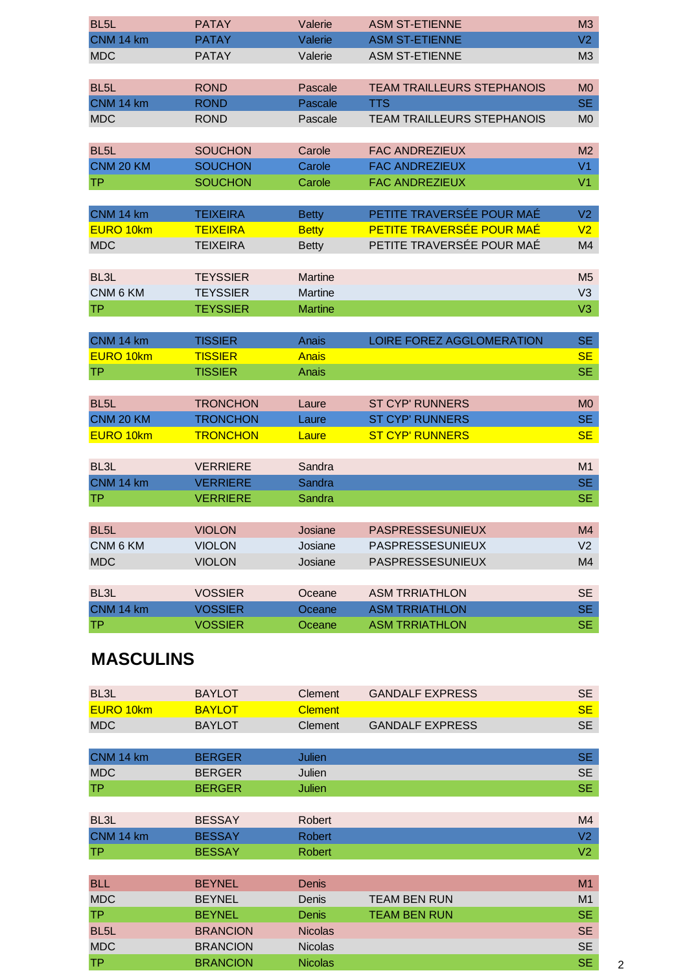| BL <sub>5</sub> L  | <b>PATAY</b>    | Valerie        | <b>ASM ST-ETIENNE</b>             | M <sub>3</sub> |
|--------------------|-----------------|----------------|-----------------------------------|----------------|
| CNM 14 km          | <b>PATAY</b>    | Valerie        | <b>ASM ST-ETIENNE</b>             | V <sub>2</sub> |
| <b>MDC</b>         | <b>PATAY</b>    | Valerie        | <b>ASM ST-ETIENNE</b>             | M3             |
|                    |                 |                |                                   |                |
| BL <sub>5</sub> L  | <b>ROND</b>     | Pascale        | <b>TEAM TRAILLEURS STEPHANOIS</b> | M <sub>0</sub> |
| CNM 14 km          | <b>ROND</b>     | Pascale        | <b>TTS</b>                        | <b>SE</b>      |
| <b>MDC</b>         | <b>ROND</b>     | Pascale        | <b>TEAM TRAILLEURS STEPHANOIS</b> | M <sub>0</sub> |
|                    |                 |                |                                   |                |
| BL <sub>5</sub> L  | <b>SOUCHON</b>  | Carole         | <b>FAC ANDREZIEUX</b>             | M <sub>2</sub> |
| CNM 20 KM          | <b>SOUCHON</b>  | Carole         | <b>FAC ANDREZIEUX</b>             | V <sub>1</sub> |
| <b>TP</b>          | <b>SOUCHON</b>  | Carole         | <b>FAC ANDREZIEUX</b>             | V <sub>1</sub> |
|                    |                 |                |                                   |                |
| CNM 14 km          | <b>TEIXEIRA</b> | <b>Betty</b>   | PETITE TRAVERSÉE POUR MAÉ         | V <sub>2</sub> |
| <b>EURO 10km</b>   | <b>TEIXEIRA</b> | <b>Betty</b>   | PETITE TRAVERSÉE POUR MAÉ         | V <sub>2</sub> |
| <b>MDC</b>         | <b>TEIXEIRA</b> | <b>Betty</b>   | PETITE TRAVERSÉE POUR MAÉ         | M4             |
|                    |                 |                |                                   |                |
| BL <sub>3</sub> L  | <b>TEYSSIER</b> | <b>Martine</b> |                                   | M <sub>5</sub> |
| CNM 6 KM           | <b>TEYSSIER</b> | Martine        |                                   | V <sub>3</sub> |
| <b>TP</b>          | <b>TEYSSIER</b> | <b>Martine</b> |                                   | V3             |
|                    |                 |                |                                   |                |
| CNM 14 km          | <b>TISSIER</b>  | Anais          | LOIRE FOREZ AGGLOMERATION         | <b>SE</b>      |
| EURO 10km          | <b>TISSIER</b>  | Anais          |                                   | <b>SE</b>      |
| <b>TP</b>          | <b>TISSIER</b>  | Anais          |                                   | <b>SE</b>      |
|                    |                 |                |                                   |                |
| BL <sub>5</sub> L  | <b>TRONCHON</b> | Laure          | <b>ST CYP' RUNNERS</b>            | M <sub>0</sub> |
| CNM 20 KM          | <b>TRONCHON</b> | Laure          | <b>ST CYP' RUNNERS</b>            | <b>SE</b>      |
| EURO 10km          | <b>TRONCHON</b> | Laure          | <b>ST CYP' RUNNERS</b>            | <b>SE</b>      |
|                    |                 |                |                                   |                |
| BL <sub>3</sub> L  | <b>VERRIERE</b> | Sandra         |                                   | M1             |
| CNM 14 km          | <b>VERRIERE</b> | Sandra         |                                   | <b>SE</b>      |
| <b>TP</b>          | <b>VERRIERE</b> | <b>Sandra</b>  |                                   | <b>SE</b>      |
|                    |                 |                |                                   |                |
| BL <sub>5</sub> L  | <b>VIOLON</b>   | Josiane        | <b>PASPRESSESUNIEUX</b>           | M4             |
| CNM 6 KM           | <b>VIOLON</b>   | Josiane        | PASPRESSESUNIEUX                  | V <sub>2</sub> |
| <b>MDC</b>         | <b>VIOLON</b>   | Josiane        | PASPRESSESUNIEUX                  | M4             |
|                    |                 |                |                                   |                |
| BL <sub>3</sub> L  | <b>VOSSIER</b>  | Oceane         | <b>ASM TRRIATHLON</b>             | <b>SE</b>      |
| CNM 14 km          | <b>VOSSIER</b>  | Oceane         | <b>ASM TRRIATHLON</b>             | SE.            |
| <b>TP</b>          | <b>VOSSIER</b>  | Oceane         | <b>ASM TRRIATHLON</b>             | SE.            |
|                    |                 |                |                                   |                |
| <b>MACCILLINIC</b> |                 |                |                                   |                |

## **MASCULINS**

| BL <sub>3</sub> L | <b>BAYLOT</b>   | Clement        | <b>GANDALF EXPRESS</b> | <b>SE</b>      |
|-------------------|-----------------|----------------|------------------------|----------------|
| EURO 10km         | <b>BAYLOT</b>   | <b>Clement</b> |                        | <b>SE</b>      |
| <b>MDC</b>        | <b>BAYLOT</b>   | Clement        | <b>GANDALF EXPRESS</b> | <b>SE</b>      |
|                   |                 |                |                        |                |
| CNM 14 km         | <b>BERGER</b>   | Julien         |                        | <b>SE</b>      |
| <b>MDC</b>        | <b>BERGER</b>   | Julien         |                        | <b>SE</b>      |
| <b>TP</b>         | <b>BERGER</b>   | Julien         |                        | <b>SE</b>      |
|                   |                 |                |                        |                |
| BL <sub>3</sub> L | <b>BESSAY</b>   | <b>Robert</b>  |                        | M4             |
| CNM 14 km         | <b>BESSAY</b>   | <b>Robert</b>  |                        | V <sub>2</sub> |
| TР                | <b>BESSAY</b>   | <b>Robert</b>  |                        | V <sub>2</sub> |
|                   |                 |                |                        |                |
| <b>BLL</b>        | <b>BEYNEL</b>   | <b>Denis</b>   |                        | M <sub>1</sub> |
| <b>MDC</b>        | <b>BEYNEL</b>   | Denis          | <b>TEAM BEN RUN</b>    | M <sub>1</sub> |
| <b>TP</b>         | <b>BEYNEL</b>   | Denis          | <b>TEAM BEN RUN</b>    | <b>SE</b>      |
| BL <sub>5</sub> L | <b>BRANCION</b> | <b>Nicolas</b> |                        | <b>SE</b>      |
| <b>MDC</b>        | <b>BRANCION</b> | <b>Nicolas</b> |                        | <b>SE</b>      |
| <b>TP</b>         | <b>BRANCION</b> | <b>Nicolas</b> |                        | <b>SE</b>      |
|                   |                 |                |                        |                |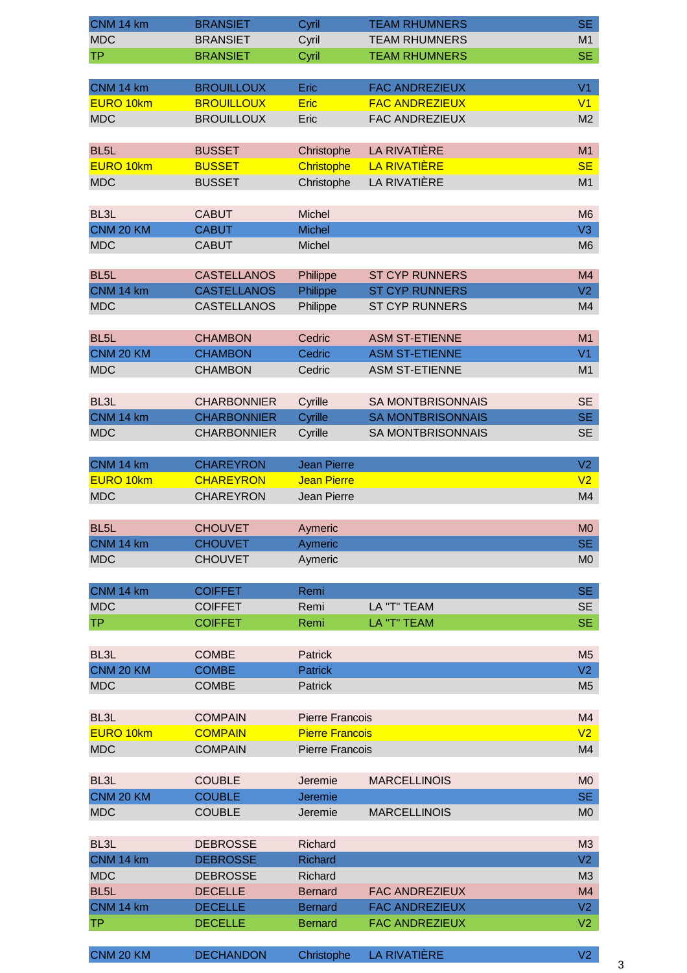| CNM 14 km               | <b>BRANSIET</b>                   | Cyril                            | <b>TEAM RHUMNERS</b>     | SE.                  |
|-------------------------|-----------------------------------|----------------------------------|--------------------------|----------------------|
| <b>MDC</b>              | <b>BRANSIET</b>                   | Cyril                            | <b>TEAM RHUMNERS</b>     | M1                   |
| <b>TP</b>               | <b>BRANSIET</b>                   | Cyril                            | <b>TEAM RHUMNERS</b>     | <b>SE</b>            |
|                         |                                   |                                  |                          |                      |
| CNM 14 km               | <b>BROUILLOUX</b>                 | Eric                             | <b>FAC ANDREZIEUX</b>    | V <sub>1</sub>       |
| EURO 10km               | <b>BROUILLOUX</b>                 | <b>Eric</b>                      | <b>FAC ANDREZIEUX</b>    | V1                   |
| <b>MDC</b>              | <b>BROUILLOUX</b>                 | Eric                             | FAC ANDREZIEUX           | M <sub>2</sub>       |
|                         |                                   |                                  |                          |                      |
| BL <sub>5</sub> L       | <b>BUSSET</b>                     | Christophe                       | <b>LA RIVATIÈRE</b>      | M1                   |
| <b>EURO 10km</b>        | <b>BUSSET</b>                     | Christophe                       | <b>LA RIVATIÈRE</b>      | <b>SE</b>            |
| <b>MDC</b>              | <b>BUSSET</b>                     | Christophe                       | <b>LA RIVATIÈRE</b>      | M1                   |
|                         |                                   |                                  |                          |                      |
| BL <sub>3</sub> L       | <b>CABUT</b>                      | Michel                           |                          | M <sub>6</sub>       |
| CNM 20 KM               | <b>CABUT</b>                      | <b>Michel</b>                    |                          | V3                   |
| <b>MDC</b>              | <b>CABUT</b>                      | Michel                           |                          | M <sub>6</sub>       |
|                         |                                   |                                  |                          |                      |
| BL <sub>5</sub> L       | <b>CASTELLANOS</b>                | Philippe                         | <b>ST CYP RUNNERS</b>    | M4                   |
| CNM 14 km               | <b>CASTELLANOS</b>                | Philippe                         | <b>ST CYP RUNNERS</b>    | V2                   |
| <b>MDC</b>              | <b>CASTELLANOS</b>                | Philippe                         | <b>ST CYP RUNNERS</b>    | M4                   |
|                         |                                   |                                  |                          |                      |
| BL <sub>5</sub> L       | <b>CHAMBON</b>                    | Cedric                           | <b>ASM ST-ETIENNE</b>    | M1                   |
| CNM 20 KM               | <b>CHAMBON</b>                    | Cedric                           | <b>ASM ST-ETIENNE</b>    | V1                   |
| <b>MDC</b>              | <b>CHAMBON</b>                    | Cedric                           | <b>ASM ST-ETIENNE</b>    | M1                   |
|                         |                                   |                                  |                          |                      |
| BL <sub>3</sub> L       | <b>CHARBONNIER</b>                | Cyrille                          | <b>SA MONTBRISONNAIS</b> | <b>SE</b>            |
| CNM 14 km               | <b>CHARBONNIER</b>                | Cyrille                          | <b>SA MONTBRISONNAIS</b> | SE.                  |
| <b>MDC</b>              | <b>CHARBONNIER</b>                | Cyrille                          | SA MONTBRISONNAIS        | <b>SE</b>            |
|                         |                                   |                                  |                          |                      |
| CNM 14 km               | <b>CHAREYRON</b>                  | <b>Jean Pierre</b>               |                          | V2                   |
| EURO 10km               | <b>CHAREYRON</b>                  | <b>Jean Pierre</b>               |                          | V <sub>2</sub>       |
| <b>MDC</b>              | <b>CHAREYRON</b>                  | Jean Pierre                      |                          | M4                   |
|                         |                                   |                                  |                          |                      |
| BL <sub>5</sub> L       | <b>CHOUVET</b>                    | Aymeric                          |                          | MO                   |
| CNM 14 km               | <b>CHOUVET</b>                    | Aymeric                          |                          | SE.                  |
| <b>MDC</b>              | <b>CHOUVET</b>                    | Aymeric                          |                          | M <sub>0</sub>       |
|                         |                                   |                                  |                          |                      |
| CNM 14 km               | <b>COIFFET</b>                    | Remi                             |                          | <b>SE</b>            |
| <b>MDC</b>              | <b>COIFFET</b>                    | Remi                             | LA "T" TEAM              | <b>SE</b>            |
| <b>TP</b>               | <b>COIFFET</b>                    | Remi                             | LA "T" TEAM              | <b>SE</b>            |
|                         |                                   |                                  |                          |                      |
| BL3L                    | <b>COMBE</b>                      | Patrick                          |                          | M <sub>5</sub>       |
| CNM 20 KM               | <b>COMBE</b>                      | <b>Patrick</b>                   |                          | V2                   |
| <b>MDC</b>              | <b>COMBE</b>                      | Patrick                          |                          | M <sub>5</sub>       |
|                         |                                   |                                  |                          |                      |
| BL3L                    | <b>COMPAIN</b>                    | <b>Pierre Francois</b>           |                          | M4                   |
| EURO 10km               | <b>COMPAIN</b>                    | <b>Pierre Francois</b>           |                          | V <sub>2</sub>       |
| <b>MDC</b>              | <b>COMPAIN</b>                    | <b>Pierre Francois</b>           |                          | M4                   |
|                         |                                   |                                  |                          |                      |
| BL3L                    | <b>COUBLE</b>                     | Jeremie                          | <b>MARCELLINOIS</b>      | M <sub>0</sub>       |
| CNM 20 KM               | <b>COUBLE</b>                     | Jeremie                          |                          | <b>SE</b>            |
| <b>MDC</b>              | <b>COUBLE</b>                     | Jeremie                          | <b>MARCELLINOIS</b>      | M <sub>0</sub>       |
|                         |                                   |                                  |                          |                      |
| BL <sub>3</sub> L       | <b>DEBROSSE</b>                   | Richard                          |                          | M3                   |
| CNM 14 km<br><b>MDC</b> | <b>DEBROSSE</b>                   | <b>Richard</b>                   |                          | V2                   |
| BL <sub>5</sub> L       | <b>DEBROSSE</b><br><b>DECELLE</b> | Richard                          | <b>FAC ANDREZIEUX</b>    | M <sub>3</sub><br>M4 |
| CNM 14 km               | <b>DECELLE</b>                    | <b>Bernard</b><br><b>Bernard</b> | <b>FAC ANDREZIEUX</b>    | V <sub>2</sub>       |
| <b>TP</b>               | <b>DECELLE</b>                    | <b>Bernard</b>                   | <b>FAC ANDREZIEUX</b>    | V <sub>2</sub>       |
|                         |                                   |                                  |                          |                      |

CNM 20 KM DECHANDON Christophe LA RIVATIÈRE V2

3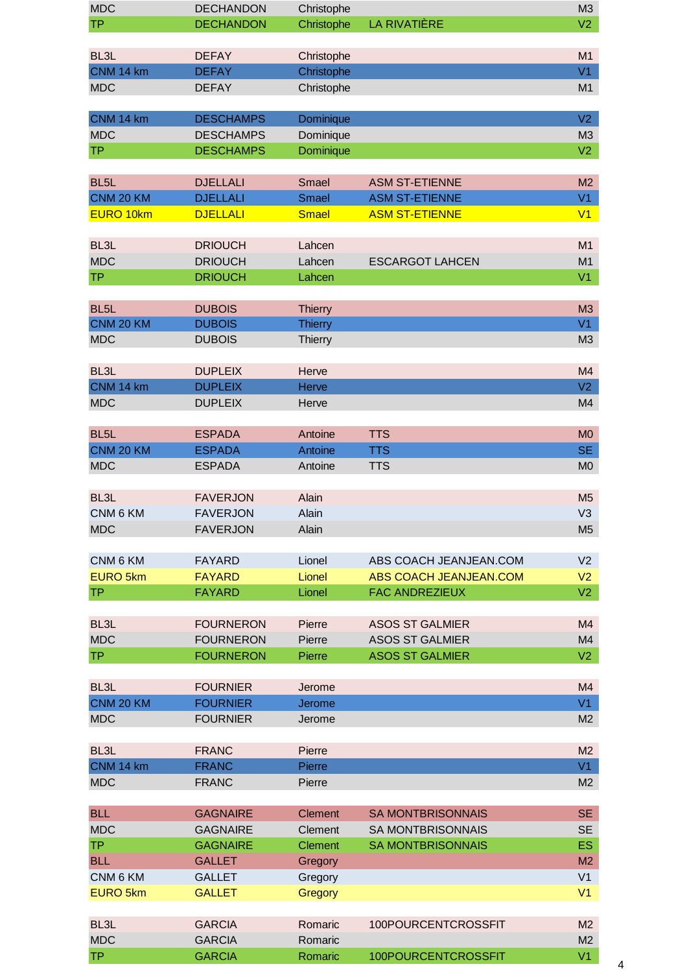| <b>MDC</b>        | <b>DECHANDON</b> | Christophe                    |                               | M3             |
|-------------------|------------------|-------------------------------|-------------------------------|----------------|
| <b>TP</b>         | <b>DECHANDON</b> | Christophe                    | LA RIVATIÈRE                  | V <sub>2</sub> |
|                   |                  |                               |                               |                |
| BL <sub>3</sub> L | <b>DEFAY</b>     | Christophe                    |                               | M1             |
| CNM 14 km         | <b>DEFAY</b>     | Christophe                    |                               | V1             |
| <b>MDC</b>        | <b>DEFAY</b>     | Christophe                    |                               | M1             |
|                   |                  |                               |                               |                |
| CNM 14 km         | <b>DESCHAMPS</b> | Dominique                     |                               | V <sub>2</sub> |
| <b>MDC</b>        | <b>DESCHAMPS</b> |                               |                               | M3             |
| <b>TP</b>         |                  | Dominique<br><b>Dominique</b> |                               |                |
|                   | <b>DESCHAMPS</b> |                               |                               | V <sub>2</sub> |
|                   |                  |                               |                               |                |
| BL <sub>5</sub> L | <b>DJELLALI</b>  | Smael                         | <b>ASM ST-ETIENNE</b>         | M <sub>2</sub> |
| CNM 20 KM         | <b>DJELLALI</b>  | <b>Smael</b>                  | <b>ASM ST-ETIENNE</b>         | V1             |
| EURO 10km         | <b>DJELLALI</b>  | <b>Smael</b>                  | <b>ASM ST-ETIENNE</b>         | V1             |
|                   |                  |                               |                               |                |
| BL <sub>3</sub> L | <b>DRIOUCH</b>   | Lahcen                        |                               | M1             |
| <b>MDC</b>        | <b>DRIOUCH</b>   | Lahcen                        | <b>ESCARGOT LAHCEN</b>        | M1             |
| <b>TP</b>         | <b>DRIOUCH</b>   | Lahcen                        |                               | V1             |
|                   |                  |                               |                               |                |
| BL <sub>5</sub> L | <b>DUBOIS</b>    | <b>Thierry</b>                |                               | M3             |
| CNM 20 KM         | <b>DUBOIS</b>    | <b>Thierry</b>                |                               | V1             |
| <b>MDC</b>        | <b>DUBOIS</b>    | Thierry                       |                               | M3             |
|                   |                  |                               |                               |                |
| BL <sub>3</sub> L | <b>DUPLEIX</b>   | Herve                         |                               | M4             |
| CNM 14 km         | <b>DUPLEIX</b>   | Herve                         |                               | V2             |
|                   |                  |                               |                               |                |
| <b>MDC</b>        | <b>DUPLEIX</b>   | Herve                         |                               | M4             |
|                   |                  |                               |                               |                |
| BL <sub>5</sub> L | <b>ESPADA</b>    | Antoine                       | <b>TTS</b>                    | <b>MO</b>      |
| CNM 20 KM         | <b>ESPADA</b>    | Antoine                       | <b>TTS</b>                    | SE.            |
| <b>MDC</b>        | <b>ESPADA</b>    | Antoine                       | <b>TTS</b>                    | M <sub>0</sub> |
|                   |                  |                               |                               |                |
| BL <sub>3</sub> L | <b>FAVERJON</b>  | Alain                         |                               | M <sub>5</sub> |
| CNM 6 KM          | <b>FAVERJON</b>  | Alain                         |                               | V <sub>3</sub> |
| <b>MDC</b>        | <b>FAVERJON</b>  | Alain                         |                               | M <sub>5</sub> |
|                   |                  |                               |                               |                |
| CNM 6 KM          | <b>FAYARD</b>    | Lionel                        | ABS COACH JEANJEAN.COM        | V <sub>2</sub> |
| <b>EURO 5km</b>   | <b>FAYARD</b>    | Lionel                        | <b>ABS COACH JEANJEAN.COM</b> | V <sub>2</sub> |
| <b>TP</b>         | <b>FAYARD</b>    | Lionel                        | <b>FAC ANDREZIEUX</b>         | V2             |
|                   |                  |                               |                               |                |
| BL3L              | <b>FOURNERON</b> | Pierre                        | <b>ASOS ST GALMIER</b>        | M4             |
| <b>MDC</b>        | <b>FOURNERON</b> | Pierre                        | <b>ASOS ST GALMIER</b>        | M4             |
| <b>TP</b>         | <b>FOURNERON</b> | Pierre                        | <b>ASOS ST GALMIER</b>        | V2             |
|                   |                  |                               |                               |                |
| BL <sub>3</sub> L |                  |                               |                               |                |
|                   | <b>FOURNIER</b>  | Jerome                        |                               | M4<br>V1       |
| CNM 20 KM         | <b>FOURNIER</b>  | Jerome                        |                               |                |
| <b>MDC</b>        | <b>FOURNIER</b>  | Jerome                        |                               | M2             |
|                   |                  |                               |                               |                |
| BL <sub>3</sub> L | <b>FRANC</b>     | Pierre                        |                               | M2             |
| CNM 14 km         | <b>FRANC</b>     | Pierre                        |                               | V1             |
| <b>MDC</b>        | <b>FRANC</b>     | Pierre                        |                               | M2             |
|                   |                  |                               |                               |                |
| <b>BLL</b>        | <b>GAGNAIRE</b>  | <b>Clement</b>                | <b>SA MONTBRISONNAIS</b>      | <b>SE</b>      |
| <b>MDC</b>        | <b>GAGNAIRE</b>  | Clement                       | <b>SA MONTBRISONNAIS</b>      | <b>SE</b>      |
| <b>TP</b>         | <b>GAGNAIRE</b>  | <b>Clement</b>                | <b>SA MONTBRISONNAIS</b>      | <b>ES</b>      |
| <b>BLL</b>        | <b>GALLET</b>    | Gregory                       |                               | M2             |
| CNM 6 KM          | <b>GALLET</b>    | Gregory                       |                               | V <sub>1</sub> |
| <b>EURO 5km</b>   | <b>GALLET</b>    | Gregory                       |                               | V <sub>1</sub> |
|                   |                  |                               |                               |                |
| BL <sub>3</sub> L | <b>GARCIA</b>    | Romaric                       | 100POURCENTCROSSFIT           | M <sub>2</sub> |
| <b>MDC</b>        | <b>GARCIA</b>    | Romaric                       |                               | M2             |
|                   |                  |                               |                               |                |
| <b>TP</b>         | <b>GARCIA</b>    | Romaric                       | 100POURCENTCROSSFIT           | V1             |

4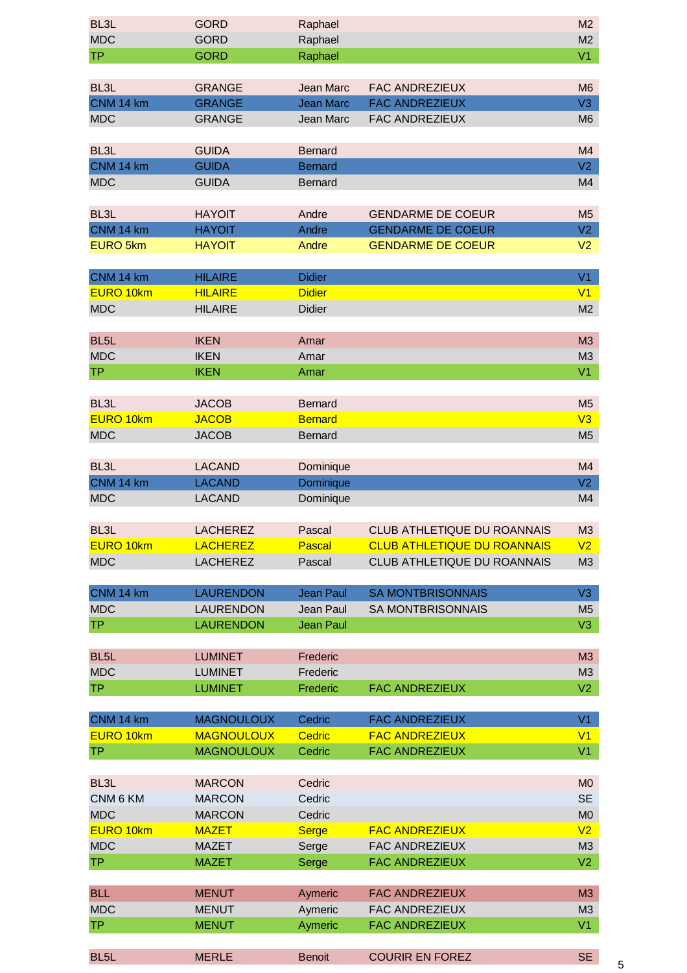| BL <sub>3</sub> L             | <b>GORD</b>       | Raphael          |                                    | M2             |
|-------------------------------|-------------------|------------------|------------------------------------|----------------|
| <b>MDC</b>                    | <b>GORD</b>       | Raphael          |                                    | M <sub>2</sub> |
| <b>TP</b>                     | <b>GORD</b>       | Raphael          |                                    | V1             |
|                               |                   |                  |                                    |                |
|                               |                   |                  |                                    |                |
| BL <sub>3</sub> L             | <b>GRANGE</b>     | <b>Jean Marc</b> | <b>FAC ANDREZIEUX</b>              | M <sub>6</sub> |
| CNM 14 km                     | <b>GRANGE</b>     | <b>Jean Marc</b> | <b>FAC ANDREZIEUX</b>              | V3             |
| <b>MDC</b>                    | <b>GRANGE</b>     | Jean Marc        | FAC ANDREZIEUX                     | M <sub>6</sub> |
|                               |                   |                  |                                    |                |
| BL <sub>3</sub> L             | <b>GUIDA</b>      | <b>Bernard</b>   |                                    | M4             |
| CNM 14 km                     | <b>GUIDA</b>      | <b>Bernard</b>   |                                    | V2             |
| <b>MDC</b>                    | <b>GUIDA</b>      | <b>Bernard</b>   |                                    | M4             |
|                               |                   |                  |                                    |                |
| BL <sub>3</sub> L             | <b>HAYOIT</b>     | Andre            | <b>GENDARME DE COEUR</b>           | M <sub>5</sub> |
| CNM 14 km                     | <b>HAYOIT</b>     | Andre            | <b>GENDARME DE COEUR</b>           | V2             |
| <b>EURO 5km</b>               | <b>HAYOIT</b>     | Andre            | <b>GENDARME DE COEUR</b>           | V <sub>2</sub> |
|                               |                   |                  |                                    |                |
| CNM 14 km                     | <b>HILAIRE</b>    | <b>Didier</b>    |                                    | V1             |
| <b>EURO 10km</b>              | <b>HILAIRE</b>    | <b>Didier</b>    |                                    | V1             |
| <b>MDC</b>                    | <b>HILAIRE</b>    | <b>Didier</b>    |                                    | M2             |
|                               |                   |                  |                                    |                |
| BL <sub>5</sub> L             | <b>IKEN</b>       | Amar             |                                    | M3             |
| <b>MDC</b>                    | <b>IKEN</b>       | Amar             |                                    | M <sub>3</sub> |
| <b>TP</b>                     | <b>IKEN</b>       | Amar             |                                    | V <sub>1</sub> |
|                               |                   |                  |                                    |                |
| BL <sub>3</sub> L             | <b>JACOB</b>      | <b>Bernard</b>   |                                    | M <sub>5</sub> |
| EURO 10km                     | <b>JACOB</b>      | <b>Bernard</b>   |                                    | V3             |
|                               |                   |                  |                                    |                |
| <b>MDC</b>                    | <b>JACOB</b>      | <b>Bernard</b>   |                                    | M <sub>5</sub> |
|                               |                   |                  |                                    |                |
| BL <sub>3</sub> L             | <b>LACAND</b>     | Dominique        |                                    | M4             |
| CNM 14 km                     | <b>LACAND</b>     | Dominique        |                                    | V2             |
| <b>MDC</b>                    | <b>LACAND</b>     | Dominique        |                                    | M4             |
|                               |                   |                  |                                    |                |
|                               |                   |                  |                                    |                |
| BL <sub>3</sub> L             | <b>LACHEREZ</b>   | Pascal           | CLUB ATHLETIQUE DU ROANNAIS        | M <sub>3</sub> |
| EURO 10km                     | <b>LACHEREZ</b>   | Pascal           | <b>CLUB ATHLETIQUE DU ROANNAIS</b> | V2             |
| <b>MDC</b>                    | <b>LACHEREZ</b>   | Pascal           | CLUB ATHLETIQUE DU ROANNAIS        | M3             |
|                               |                   |                  |                                    |                |
| CNM 14 km                     | <b>LAURENDON</b>  | <b>Jean Paul</b> | <b>SA MONTBRISONNAIS</b>           | V3             |
| <b>MDC</b>                    | LAURENDON         | Jean Paul        | <b>SA MONTBRISONNAIS</b>           | M <sub>5</sub> |
| <b>TP</b>                     | <b>LAURENDON</b>  | <b>Jean Paul</b> |                                    | V3             |
|                               |                   |                  |                                    |                |
| BL <sub>5</sub> L             | <b>LUMINET</b>    | Frederic         |                                    | M3             |
| <b>MDC</b>                    | <b>LUMINET</b>    | Frederic         |                                    | M3             |
| <b>TP</b>                     | <b>LUMINET</b>    | Frederic         | <b>FAC ANDREZIEUX</b>              | V2             |
|                               |                   |                  |                                    |                |
|                               |                   | Cedric           |                                    | V1             |
| CNM 14 km<br><b>EURO 10km</b> | <b>MAGNOULOUX</b> |                  | <b>FAC ANDREZIEUX</b>              | V1             |
|                               | <b>MAGNOULOUX</b> | <b>Cedric</b>    | <b>FAC ANDREZIEUX</b>              |                |
| <b>TP</b>                     | <b>MAGNOULOUX</b> | Cedric           | <b>FAC ANDREZIEUX</b>              | V <sub>1</sub> |
|                               |                   |                  |                                    |                |
| BL3L                          | <b>MARCON</b>     | Cedric           |                                    | M <sub>0</sub> |
| CNM 6 KM                      | <b>MARCON</b>     | Cedric           |                                    | <b>SE</b>      |
| <b>MDC</b>                    | <b>MARCON</b>     | Cedric           |                                    | M <sub>0</sub> |
| EURO 10km                     | <b>MAZET</b>      | <b>Serge</b>     | <b>FAC ANDREZIEUX</b>              | V <sub>2</sub> |
| <b>MDC</b>                    | <b>MAZET</b>      | Serge            | <b>FAC ANDREZIEUX</b>              | M3             |
| <b>TP</b>                     | <b>MAZET</b>      | Serge            | <b>FAC ANDREZIEUX</b>              | V <sub>2</sub> |
|                               |                   |                  |                                    |                |
| <b>BLL</b>                    | <b>MENUT</b>      | Aymeric          | <b>FAC ANDREZIEUX</b>              | M3             |
| <b>MDC</b>                    | <b>MENUT</b>      | Aymeric          | <b>FAC ANDREZIEUX</b>              | M3             |
| <b>TP</b>                     | <b>MENUT</b>      | Aymeric          | <b>FAC ANDREZIEUX</b>              | V1             |
| BL5L                          | <b>MERLE</b>      | <b>Benoit</b>    | <b>COURIR EN FOREZ</b>             | <b>SE</b>      |

5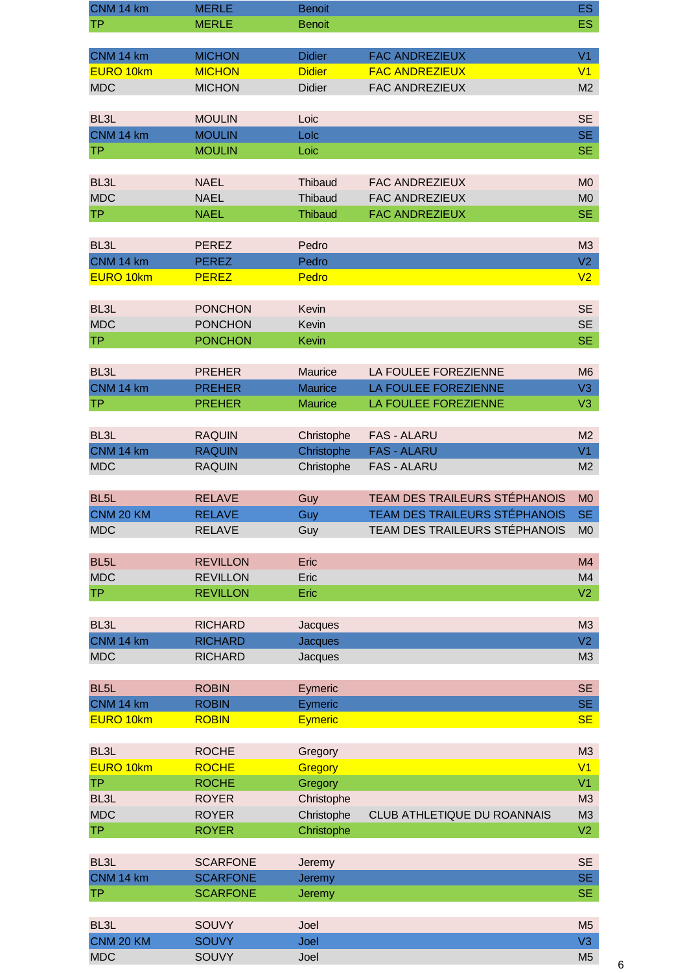| CNM 14 km               | <b>MERLE</b>          | <b>Benoit</b>  |                                      | <b>ES</b>            |
|-------------------------|-----------------------|----------------|--------------------------------------|----------------------|
| ТP                      | <b>MERLE</b>          | <b>Benoit</b>  |                                      | <b>ES</b>            |
|                         |                       |                |                                      |                      |
| CNM 14 km               | <b>MICHON</b>         | <b>Didier</b>  | <b>FAC ANDREZIEUX</b>                | V <sub>1</sub>       |
| EURO 10km               | <b>MICHON</b>         | <b>Didier</b>  | <b>FAC ANDREZIEUX</b>                | V1                   |
| <b>MDC</b>              | <b>MICHON</b>         | <b>Didier</b>  | FAC ANDREZIEUX                       | M <sub>2</sub>       |
|                         |                       |                |                                      |                      |
| BL <sub>3</sub> L       | <b>MOULIN</b>         | Loic           |                                      | <b>SE</b>            |
|                         |                       |                |                                      |                      |
| CNM 14 km               | <b>MOULIN</b>         | Lolc           |                                      | <b>SE</b>            |
| <b>TP</b>               | <b>MOULIN</b>         | Loic           |                                      | <b>SE</b>            |
|                         |                       |                |                                      |                      |
| BL <sub>3</sub> L       | <b>NAEL</b>           | Thibaud        | <b>FAC ANDREZIEUX</b>                | M <sub>0</sub>       |
| <b>MDC</b>              | <b>NAEL</b>           | Thibaud        | <b>FAC ANDREZIEUX</b>                | M <sub>0</sub>       |
| <b>TP</b>               | <b>NAEL</b>           | <b>Thibaud</b> | <b>FAC ANDREZIEUX</b>                | <b>SE</b>            |
|                         |                       |                |                                      |                      |
| BL <sub>3</sub> L       | <b>PEREZ</b>          | Pedro          |                                      | M3                   |
| CNM 14 km               | <b>PEREZ</b>          | Pedro          |                                      | V2                   |
| EURO 10km               | <b>PEREZ</b>          | Pedro          |                                      | V <sub>2</sub>       |
|                         |                       |                |                                      |                      |
| BL <sub>3</sub> L       | <b>PONCHON</b>        | Kevin          |                                      | <b>SE</b>            |
|                         |                       |                |                                      |                      |
| <b>MDC</b>              | <b>PONCHON</b>        | Kevin          |                                      | <b>SE</b>            |
| <b>TP</b>               | <b>PONCHON</b>        | Kevin          |                                      | <b>SE</b>            |
|                         |                       |                |                                      |                      |
| BL <sub>3</sub> L       | <b>PREHER</b>         | Maurice        | LA FOULEE FOREZIENNE                 | M <sub>6</sub>       |
| CNM 14 km               | <b>PREHER</b>         | <b>Maurice</b> | LA FOULEE FOREZIENNE                 | V3                   |
| TP                      | <b>PREHER</b>         | <b>Maurice</b> | LA FOULEE FOREZIENNE                 | V3                   |
|                         |                       |                |                                      |                      |
| BL <sub>3</sub> L       | <b>RAQUIN</b>         | Christophe     | <b>FAS - ALARU</b>                   | M <sub>2</sub>       |
| CNM 14 km               | <b>RAQUIN</b>         | Christophe     | <b>FAS - ALARU</b>                   | V <sub>1</sub>       |
| <b>MDC</b>              | <b>RAQUIN</b>         | Christophe     | <b>FAS - ALARU</b>                   | M <sub>2</sub>       |
|                         |                       |                |                                      |                      |
|                         |                       |                |                                      |                      |
|                         |                       |                |                                      |                      |
| BL <sub>5</sub> L       | <b>RELAVE</b>         | Guy            | <b>TEAM DES TRAILEURS STÉPHANOIS</b> | M <sub>0</sub>       |
| CNM 20 KM               | <b>RELAVE</b>         | Guy            | <b>TEAM DES TRAILEURS STÉPHANOIS</b> | <b>SE</b>            |
| <b>MDC</b>              | <b>RELAVE</b>         | Guy            | TEAM DES TRAILEURS STÉPHANOIS        | M <sub>0</sub>       |
|                         |                       |                |                                      |                      |
| BL <sub>5</sub> L       | <b>REVILLON</b>       | Eric           |                                      | M <sub>4</sub>       |
| <b>MDC</b>              | <b>REVILLON</b>       | Eric           |                                      | M4                   |
| <b>TP</b>               | <b>REVILLON</b>       | Eric           |                                      | V <sub>2</sub>       |
|                         |                       |                |                                      |                      |
| BL <sub>3</sub> L       | <b>RICHARD</b>        | Jacques        |                                      | M3                   |
| CNM 14 km               | <b>RICHARD</b>        | <b>Jacques</b> |                                      | V <sub>2</sub>       |
| <b>MDC</b>              | <b>RICHARD</b>        |                |                                      | M3                   |
|                         |                       | Jacques        |                                      |                      |
|                         |                       |                |                                      |                      |
| BL5L                    | <b>ROBIN</b>          | Eymeric        |                                      | <b>SE</b>            |
| CNM 14 km               | <b>ROBIN</b>          | Eymeric        |                                      | <b>SE</b>            |
| EURO 10km               | <b>ROBIN</b>          | <b>Eymeric</b> |                                      | <b>SE</b>            |
|                         |                       |                |                                      |                      |
| BL <sub>3</sub> L       | <b>ROCHE</b>          | Gregory        |                                      | M <sub>3</sub>       |
| EURO 10km               | <b>ROCHE</b>          | Gregory        |                                      | V <sub>1</sub>       |
| <b>TP</b>               | <b>ROCHE</b>          | Gregory        |                                      | V <sub>1</sub>       |
| BL <sub>3</sub> L       | <b>ROYER</b>          | Christophe     |                                      | M3                   |
| <b>MDC</b>              | <b>ROYER</b>          | Christophe     | CLUB ATHLETIQUE DU ROANNAIS          | M3                   |
| <b>TP</b>               | <b>ROYER</b>          | Christophe     |                                      | V <sub>2</sub>       |
|                         |                       |                |                                      |                      |
| BL <sub>3</sub> L       | <b>SCARFONE</b>       | Jeremy         |                                      | <b>SE</b>            |
| CNM 14 km               | <b>SCARFONE</b>       | Jeremy         |                                      | <b>SE</b>            |
| <b>TP</b>               | <b>SCARFONE</b>       | Jeremy         |                                      | <b>SE</b>            |
|                         |                       |                |                                      |                      |
|                         |                       |                |                                      |                      |
| BL <sub>3</sub> L       | SOUVY                 | Joel           |                                      | M <sub>5</sub>       |
| CNM 20 KM<br><b>MDC</b> | <b>SOUVY</b><br>SOUVY | Joel<br>Joel   |                                      | V3<br>M <sub>5</sub> |